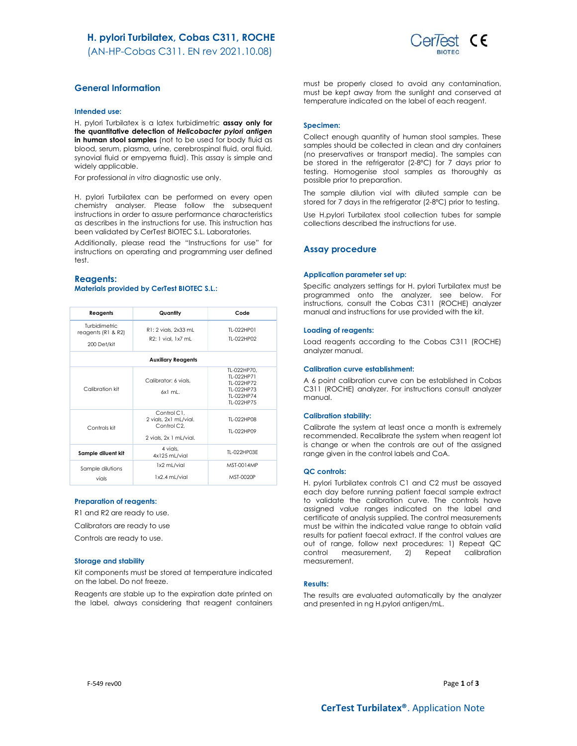(AN-HP-Cobas C311. EN rev 2021.10.08)



# General Information

#### Intended use:

H. pylori Turbilatex is a latex turbidimetric assay only for the quantitative detection of Helicobacter pylori antigen in human stool samples (not to be used for body fluid as blood, serum, plasma, urine, cerebrospinal fluid, oral fluid, synovial fluid or empyema fluid). This assay is simple and widely applicable.

For professional in vitro diagnostic use only.

H. pylori Turbilatex can be performed on every open chemistry analyser. Please follow the subsequent instructions in order to assure performance characteristics as describes in the instructions for use. This instruction has been validated by CerTest BIOTEC S.L. Laboratories.

Additionally, please read the "Instructions for use" for instructions on operating and programming user defined test.

### Reagents: Materials provided by CerTest BIOTEC S.L.:

| Reagents                                           | Quantity                                                                      | Code                                                                              |  |  |
|----------------------------------------------------|-------------------------------------------------------------------------------|-----------------------------------------------------------------------------------|--|--|
| Turbidimetric<br>reagents (R1 & R2)<br>200 Det/kit | R1: 2 vials, 2x33 mL<br>R2: 1 vial, 1x7 mL                                    | TI-022HP01<br>TI-022HP02                                                          |  |  |
| <b>Auxiliary Reagents</b>                          |                                                                               |                                                                                   |  |  |
| Calibration kit                                    | Calibrator: 6 vials.<br>$6x1$ ml.                                             | TL-022HP70.<br>TI-022HP71<br>TI-022HP72<br>TI-022HP73<br>TI-022HP74<br>TI-022HP75 |  |  |
| Controls kit                                       | Control C1.<br>2 vials, 2x1 mL/vial.<br>Control C2.<br>2 vials, 2x 1 mL/vial. | TI-022HP08<br>TI-022HP09                                                          |  |  |
| Sample diluent kit                                 | 4 vials.<br>4x125 mL/vial                                                     | TL-022HP03E                                                                       |  |  |
| Sample dilutions<br>vials                          | 1x2 mL/vial<br>1x2.4 mL/vial                                                  | MST-0014MP<br>MST-0020P                                                           |  |  |

### Preparation of reagents:

R1 and R2 are ready to use.

Calibrators are ready to use

Controls are ready to use.

#### Storage and stability

Kit components must be stored at temperature indicated on the label. Do not freeze.

Reagents are stable up to the expiration date printed on the label, always considering that reagent containers must be properly closed to avoid any contamination, must be kept away from the sunlight and conserved at temperature indicated on the label of each reagent.

### Specimen:

Collect enough quantity of human stool samples. These samples should be collected in clean and dry containers (no preservatives or transport media). The samples can be stored in the refrigerator (2-8ºC) for 7 days prior to testing. Homogenise stool samples as thoroughly as possible prior to preparation.

The sample dilution vial with diluted sample can be stored for 7 days in the refrigerator (2-8ºC) prior to testing.

Use H.pylori Turbilatex stool collection tubes for sample collections described the instructions for use.

### Assay procedure

#### Application parameter set up:

Specific analyzers settings for H. pylori Turbilatex must be programmed onto the analyzer, see below. For instructions, consult the Cobas C311 (ROCHE) analyzer manual and instructions for use provided with the kit.

### Loading of reagents:

Load reagents according to the Cobas C311 (ROCHE) analyzer manual.

### Calibration curve establishment:

A 6 point calibration curve can be established in Cobas C311 (ROCHE) analyzer. For instructions consult analyzer manual.

### Calibration stability:

Calibrate the system at least once a month is extremely recommended. Recalibrate the system when reagent lot is change or when the controls are out of the assigned range given in the control labels and CoA.

#### QC controls:

H. pylori Turbilatex controls C1 and C2 must be assayed each day before running patient faecal sample extract to validate the calibration curve. The controls have assigned value ranges indicated on the label and certificate of analysis supplied. The control measurements must be within the indicated value range to obtain valid results for patient faecal extract. If the control values are out of range, follow next procedures: 1) Repeat QC control measurement, 2) Repeat calibration measurement.

### Results:

The results are evaluated automatically by the analyzer and presented in ng H.pylori antigen/mL.

F-549 rev00  $Page 1 of 3$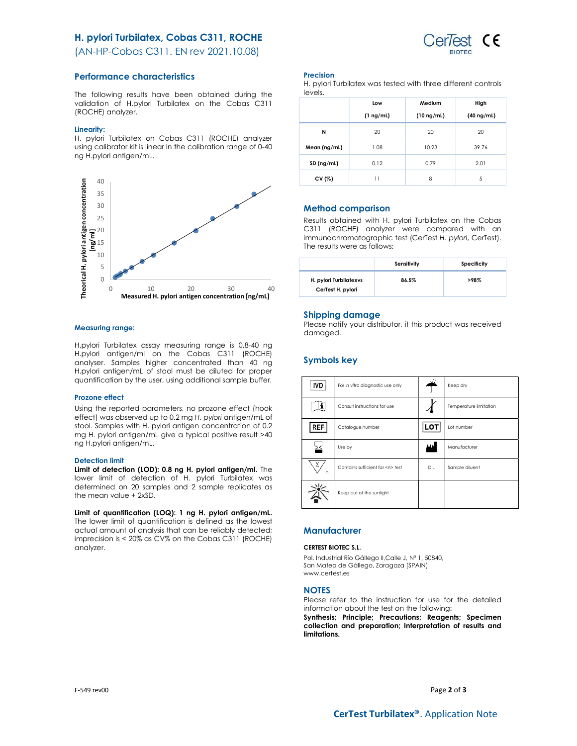# H. pylori Turbilatex, Cobas C311, ROCHE

(AN-HP-Cobas C311. EN rev 2021.10.08)

### Performance characteristics

The following results have been obtained during the validation of H.pylori Turbilatex on the Cobas C311 (ROCHE) analyzer.

### Linearity:

H. pylori Turbilatex on Cobas C311 (ROCHE) analyzer using calibrator kit is linear in the calibration range of 0-40 ng H.pylori antigen/mL.



### Measuring range:

H.pylori Turbilatex assay measuring range is 0.8-40 ng H.pylori antigen/ml on the Cobas C311 (ROCHE) analyser. Samples higher concentrated than 40 ng H.pylori antigen/mL of stool must be diluted for proper quantification by the user, using additional sample buffer.

### Prozone effect

Using the reported parameters, no prozone effect (hook effect) was observed up to 0.2 mg H. pylori antigen/mL of stool. Samples with H. pylori antigen concentration of 0.2 mg H. pylori antigen/mL give a typical positive result >40 ng H.pylori antigen/mL.

### Detection limit

Limit of detection (LOD): 0.8 ng H. pylori antigen/ml. The lower limit of detection of H. pylori Turbilatex was determined on 20 samples and 2 sample replicates as the mean value + 2xSD.

Limit of quantification (LOQ): 1 ng H. pylori antigen/mL. The lower limit of quantification is defined as the lowest actual amount of analysis that can be reliably detected; imprecision is < 20% as CV% on the Cobas C311 (ROCHE) analyzer.

### Precision

H. pylori Turbilatex was tested with three different controls levels.

|              | Low            | Medium          | High            |
|--------------|----------------|-----------------|-----------------|
|              | $(1 \nmid mL)$ | $(10 \nmid mL)$ | $(40 \nmid mL)$ |
| N            | 20             | 20              | 20              |
| Mean (ng/ml) | 1.08           | 10.23           | 39.76           |
| SD (ng/ml)   | 0.12           | 0.79            | 2.01            |
| CV (%)       | 11             | 8               | 5               |

### Method comparison

Results obtained with H. pylori Turbilatex on the Cobas C311 (ROCHE) analyzer were compared with an immunochromatographic test (CerTest H. pylori, CerTest). The results were as follows:

|                                             | Sensitivity | Specificity |
|---------------------------------------------|-------------|-------------|
| H. pylori Turbilatexys<br>CerTest H. pylori | 86.5%       | >98%        |

### Shipping damage

Please notify your distributor, it this product was received damaged.

# Symbols key

| IVD                 | For in vitro diagnostic use only     | - 11 | Keep dry               |
|---------------------|--------------------------------------|------|------------------------|
|                     | Consult instructions for use         |      | Temperature limitation |
| REF                 | Catalogue number                     | LOT  | Lot number             |
|                     | Use by                               | ₩    | Manufacturer           |
| Σ<br>$\overline{D}$ | Contains sufficient for <n> test</n> | DIL  | Sample diluent         |
|                     | Keep out of the sunlight             |      |                        |

# **Manufacturer**

### CERTEST BIOTEC S.L.

Pol. Industrial Río Gállego II, Calle J, Nº 1, 50840, San Mateo de Gállego, Zaragoza (SPAIN) www.certest.es

### **NOTES**

Please refer to the instruction for use for the detailed information about the test on the following:

Synthesis; Principle; Precautions; Reagents; Specimen collection and preparation; Interpretation of results and limitations.

F-549 rev00  $Page 2 of 3$